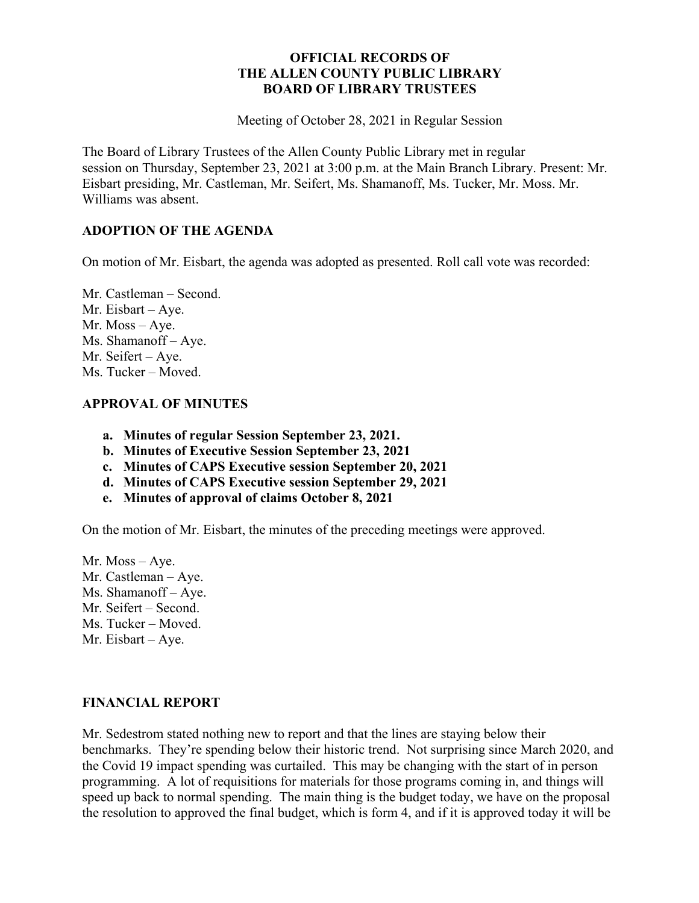### **OFFICIAL RECORDS OF THE ALLEN COUNTY PUBLIC LIBRARY BOARD OF LIBRARY TRUSTEES**

Meeting of October 28, 2021 in Regular Session

The Board of Library Trustees of the Allen County Public Library met in regular session on Thursday, September 23, 2021 at 3:00 p.m. at the Main Branch Library. Present: Mr. Eisbart presiding, Mr. Castleman, Mr. Seifert, Ms. Shamanoff, Ms. Tucker, Mr. Moss. Mr. Williams was absent.

### **ADOPTION OF THE AGENDA**

On motion of Mr. Eisbart, the agenda was adopted as presented. Roll call vote was recorded:

Mr. Castleman – Second. Mr. Eisbart – Aye. Mr. Moss – Aye. Ms. Shamanoff – Aye. Mr. Seifert – Aye. Ms. Tucker – Moved.

### **APPROVAL OF MINUTES**

- **a. Minutes of regular Session September 23, 2021.**
- **b. Minutes of Executive Session September 23, 2021**
- **c. Minutes of CAPS Executive session September 20, 2021**
- **d. Minutes of CAPS Executive session September 29, 2021**
- **e. Minutes of approval of claims October 8, 2021**

On the motion of Mr. Eisbart, the minutes of the preceding meetings were approved.

Mr. Moss – Aye. Mr. Castleman – Aye. Ms. Shamanoff – Aye. Mr. Seifert – Second. Ms. Tucker – Moved. Mr. Eisbart – Aye.

### **FINANCIAL REPORT**

Mr. Sedestrom stated nothing new to report and that the lines are staying below their benchmarks. They're spending below their historic trend. Not surprising since March 2020, and the Covid 19 impact spending was curtailed. This may be changing with the start of in person programming. A lot of requisitions for materials for those programs coming in, and things will speed up back to normal spending. The main thing is the budget today, we have on the proposal the resolution to approved the final budget, which is form 4, and if it is approved today it will be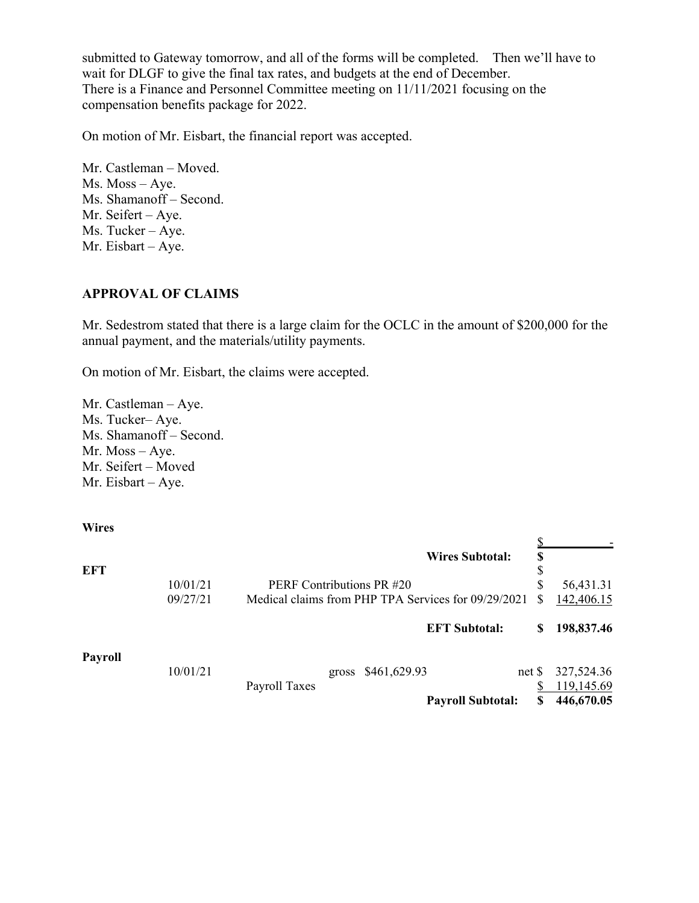submitted to Gateway tomorrow, and all of the forms will be completed. Then we'll have to wait for DLGF to give the final tax rates, and budgets at the end of December. There is a Finance and Personnel Committee meeting on 11/11/2021 focusing on the compensation benefits package for 2022.

On motion of Mr. Eisbart, the financial report was accepted.

Mr. Castleman – Moved. Ms. Moss – Aye. Ms. Shamanoff – Second. Mr. Seifert – Aye. Ms. Tucker – Aye. Mr. Eisbart – Aye.

### **APPROVAL OF CLAIMS**

Mr. Sedestrom stated that there is a large claim for the OCLC in the amount of \$200,000 for the annual payment, and the materials/utility payments.

On motion of Mr. Eisbart, the claims were accepted.

Mr. Castleman – Aye. Ms. Tucker– Aye. Ms. Shamanoff – Second. Mr. Moss – Aye. Mr. Seifert – Moved Mr. Eisbart – Aye.

**Wires**

| EFT            |          |                           |       |                                                     | <b>Wires Subtotal:</b>   | \$<br>\$  |                          |
|----------------|----------|---------------------------|-------|-----------------------------------------------------|--------------------------|-----------|--------------------------|
|                | 10/01/21 | PERF Contributions PR #20 |       |                                                     | \$                       | 56,431.31 |                          |
|                | 09/27/21 |                           |       | Medical claims from PHP TPA Services for 09/29/2021 |                          |           | 142,406.15               |
|                |          |                           |       |                                                     | <b>EFT Subtotal:</b>     | S         | 198,837.46               |
| <b>Payroll</b> | 10/01/21 |                           | gross | \$461,629.93                                        | net <sub>s</sub>         |           | 327,524.36               |
|                |          | Payroll Taxes             |       |                                                     | <b>Payroll Subtotal:</b> |           | 119,145.69<br>446,670.05 |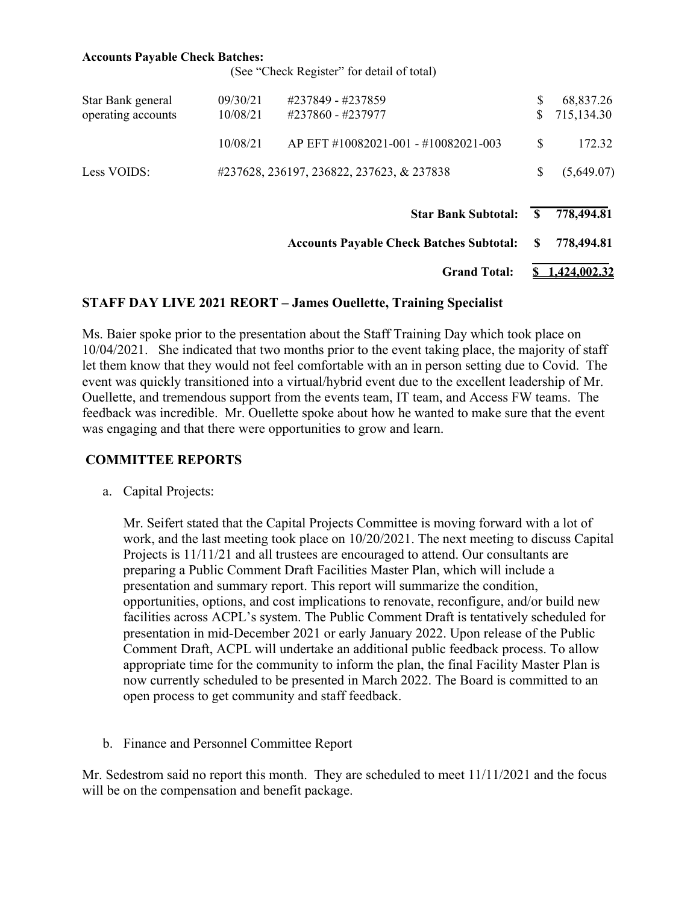#### **Accounts Payable Check Batches:**

(See "Check Register" for detail of total)

|                                         |                      | <b>Star Bank Subtotal:</b>                |   | 778,494.81              |
|-----------------------------------------|----------------------|-------------------------------------------|---|-------------------------|
| Less VOIDS:                             |                      | #237628, 236197, 236822, 237623, & 237838 |   | (5,649.07)              |
|                                         | 10/08/21             | AP EFT #10082021-001 - #10082021-003      | S | 172.32                  |
| Star Bank general<br>operating accounts | 09/30/21<br>10/08/21 | #237849 - #237859<br>#237860 - #237977    |   | 68,837.26<br>715,134.30 |

**Accounts Payable Check Batches Subtotal: \$ 778,494.81**

**Grand Total: \$ 1,424,002.32**

#### **STAFF DAY LIVE 2021 REORT – James Ouellette, Training Specialist**

Ms. Baier spoke prior to the presentation about the Staff Training Day which took place on 10/04/2021. She indicated that two months prior to the event taking place, the majority of staff let them know that they would not feel comfortable with an in person setting due to Covid. The event was quickly transitioned into a virtual/hybrid event due to the excellent leadership of Mr. Ouellette, and tremendous support from the events team, IT team, and Access FW teams. The feedback was incredible. Mr. Ouellette spoke about how he wanted to make sure that the event was engaging and that there were opportunities to grow and learn.

### **COMMITTEE REPORTS**

a. Capital Projects:

Mr. Seifert stated that the Capital Projects Committee is moving forward with a lot of work, and the last meeting took place on 10/20/2021. The next meeting to discuss Capital Projects is 11/11/21 and all trustees are encouraged to attend. Our consultants are preparing a Public Comment Draft Facilities Master Plan, which will include a presentation and summary report. This report will summarize the condition, opportunities, options, and cost implications to renovate, reconfigure, and/or build new facilities across ACPL's system. The Public Comment Draft is tentatively scheduled for presentation in mid-December 2021 or early January 2022. Upon release of the Public Comment Draft, ACPL will undertake an additional public feedback process. To allow appropriate time for the community to inform the plan, the final Facility Master Plan is now currently scheduled to be presented in March 2022. The Board is committed to an open process to get community and staff feedback.

b. Finance and Personnel Committee Report

Mr. Sedestrom said no report this month. They are scheduled to meet 11/11/2021 and the focus will be on the compensation and benefit package.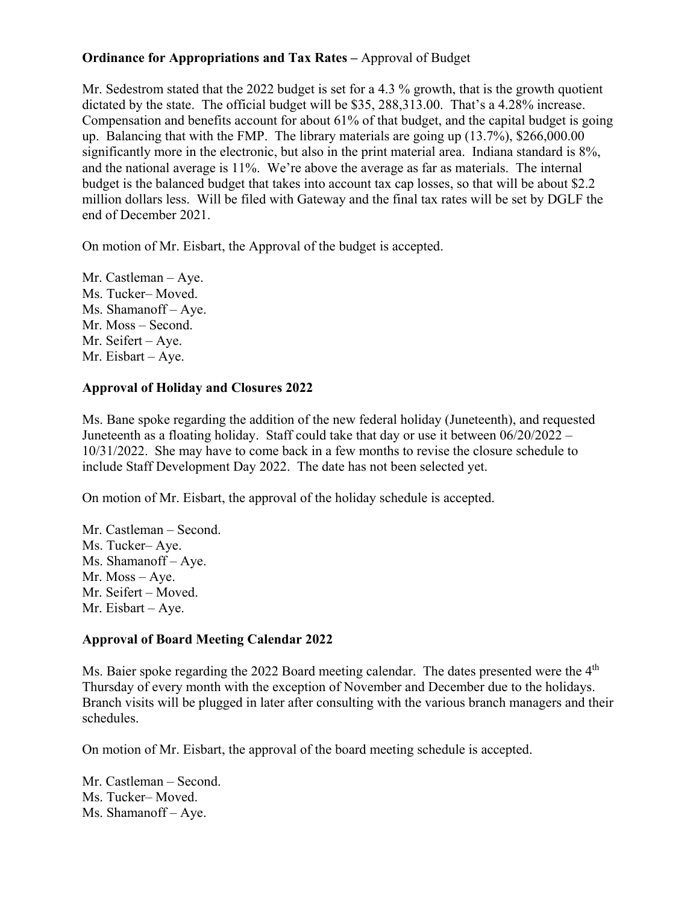## **Ordinance for Appropriations and Tax Rates –** Approval of Budget

Mr. Sedestrom stated that the 2022 budget is set for a 4.3 % growth, that is the growth quotient dictated by the state. The official budget will be \$35, 288,313.00. That's a 4.28% increase. Compensation and benefits account for about 61% of that budget, and the capital budget is going up. Balancing that with the FMP. The library materials are going up (13.7%), \$266,000.00 significantly more in the electronic, but also in the print material area. Indiana standard is 8%, and the national average is 11%. We're above the average as far as materials. The internal budget is the balanced budget that takes into account tax cap losses, so that will be about \$2.2 million dollars less. Will be filed with Gateway and the final tax rates will be set by DGLF the end of December 2021.

On motion of Mr. Eisbart, the Approval of the budget is accepted.

Mr. Castleman – Aye. Ms. Tucker– Moved. Ms. Shamanoff – Aye. Mr. Moss – Second. Mr. Seifert – Aye. Mr. Eisbart – Aye.

# **Approval of Holiday and Closures 2022**

Ms. Bane spoke regarding the addition of the new federal holiday (Juneteenth), and requested Juneteenth as a floating holiday. Staff could take that day or use it between 06/20/2022 – 10/31/2022. She may have to come back in a few months to revise the closure schedule to include Staff Development Day 2022. The date has not been selected yet.

On motion of Mr. Eisbart, the approval of the holiday schedule is accepted.

Mr. Castleman – Second. Ms. Tucker– Aye. Ms. Shamanoff – Aye. Mr. Moss – Aye. Mr. Seifert – Moved. Mr. Eisbart – Aye.

## **Approval of Board Meeting Calendar 2022**

Ms. Baier spoke regarding the 2022 Board meeting calendar. The dates presented were the  $4<sup>th</sup>$ Thursday of every month with the exception of November and December due to the holidays. Branch visits will be plugged in later after consulting with the various branch managers and their schedules.

On motion of Mr. Eisbart, the approval of the board meeting schedule is accepted.

Mr. Castleman – Second. Ms. Tucker– Moved. Ms. Shamanoff – Aye.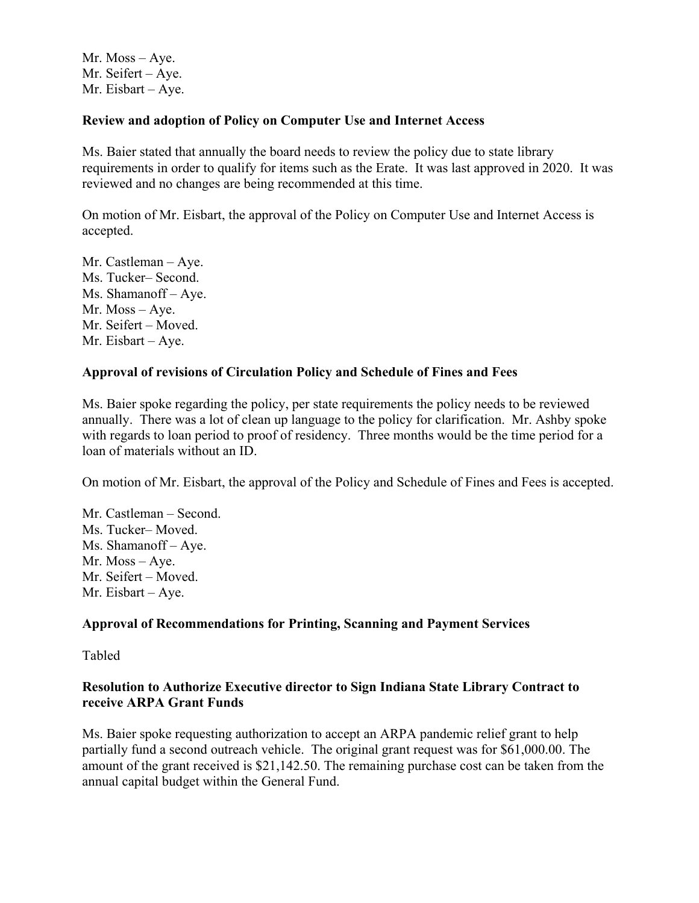Mr. Moss – Aye. Mr. Seifert – Aye. Mr. Eisbart – Aye.

### **Review and adoption of Policy on Computer Use and Internet Access**

Ms. Baier stated that annually the board needs to review the policy due to state library requirements in order to qualify for items such as the Erate. It was last approved in 2020. It was reviewed and no changes are being recommended at this time.

On motion of Mr. Eisbart, the approval of the Policy on Computer Use and Internet Access is accepted.

Mr. Castleman – Aye. Ms. Tucker– Second. Ms. Shamanoff – Aye. Mr. Moss – Aye. Mr. Seifert – Moved. Mr. Eisbart – Aye.

### **Approval of revisions of Circulation Policy and Schedule of Fines and Fees**

Ms. Baier spoke regarding the policy, per state requirements the policy needs to be reviewed annually. There was a lot of clean up language to the policy for clarification. Mr. Ashby spoke with regards to loan period to proof of residency. Three months would be the time period for a loan of materials without an ID.

On motion of Mr. Eisbart, the approval of the Policy and Schedule of Fines and Fees is accepted.

Mr. Castleman – Second. Ms. Tucker– Moved. Ms. Shamanoff – Aye. Mr. Moss – Aye. Mr. Seifert – Moved. Mr. Eisbart – Aye.

### **Approval of Recommendations for Printing, Scanning and Payment Services**

Tabled

### **Resolution to Authorize Executive director to Sign Indiana State Library Contract to receive ARPA Grant Funds**

Ms. Baier spoke requesting authorization to accept an ARPA pandemic relief grant to help partially fund a second outreach vehicle. The original grant request was for \$61,000.00. The amount of the grant received is \$21,142.50. The remaining purchase cost can be taken from the annual capital budget within the General Fund.